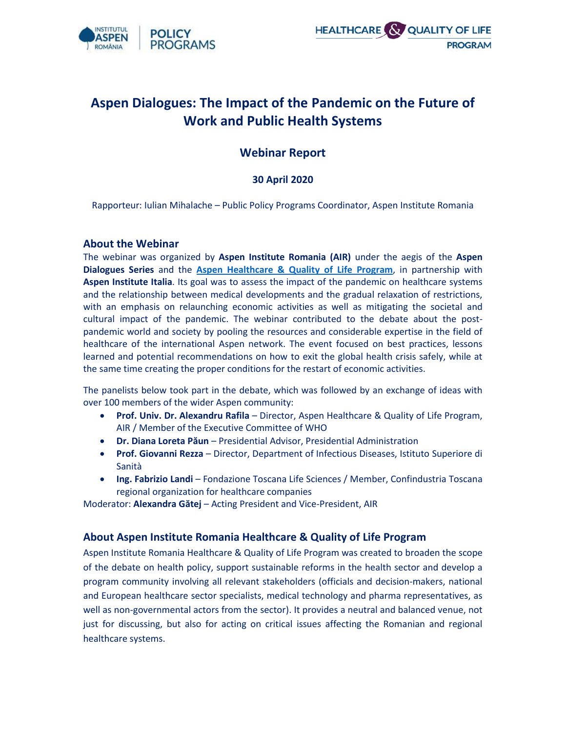



# **Aspen Dialogues: The Impact of the Pandemic on the Future of Work and Public Health Systems**

## **Webinar Report**

## **30 April 2020**

Rapporteur: Iulian Mihalache – Public Policy Programs Coordinator, Aspen Institute Romania

#### **About the Webinar**

The webinar was organized by **Aspen Institute Romania (AIR)** under the aegis of the **Aspen Dialogues Series** and the **[Aspen Healthcare & Quality of Life Program](http://aspeninstitute.ro/healthcare-quality-of-life-program/)**, in partnership with **Aspen Institute Italia**. Its goal was to assess the impact of the pandemic on healthcare systems and the relationship between medical developments and the gradual relaxation of restrictions, with an emphasis on relaunching economic activities as well as mitigating the societal and cultural impact of the pandemic. The webinar contributed to the debate about the postpandemic world and society by pooling the resources and considerable expertise in the field of healthcare of the international Aspen network. The event focused on best practices, lessons learned and potential recommendations on how to exit the global health crisis safely, while at the same time creating the proper conditions for the restart of economic activities.

The panelists below took part in the debate, which was followed by an exchange of ideas with over 100 members of the wider Aspen community:

- **Prof. Univ. Dr. Alexandru Rafila** Director, Aspen Healthcare & Quality of Life Program, AIR / Member of the Executive Committee of WHO
- **Dr. Diana Loreta Păun** Presidential Advisor, Presidential Administration
- **Prof. Giovanni Rezza** Director, Department of Infectious Diseases, Istituto Superiore di Sanità
- **Ing. Fabrizio Landi** Fondazione Toscana Life Sciences / Member, Confindustria Toscana regional organization for healthcare companies

Moderator: **Alexandra Gătej** – Acting President and Vice-President, AIR

### **About Aspen Institute Romania Healthcare & Quality of Life Program**

Aspen Institute Romania Healthcare & Quality of Life Program was created to broaden the scope of the debate on health policy, support sustainable reforms in the health sector and develop a program community involving all relevant stakeholders (officials and decision-makers, national and European healthcare sector specialists, medical technology and pharma representatives, as well as non-governmental actors from the sector). It provides a neutral and balanced venue, not just for discussing, but also for acting on critical issues affecting the Romanian and regional healthcare systems.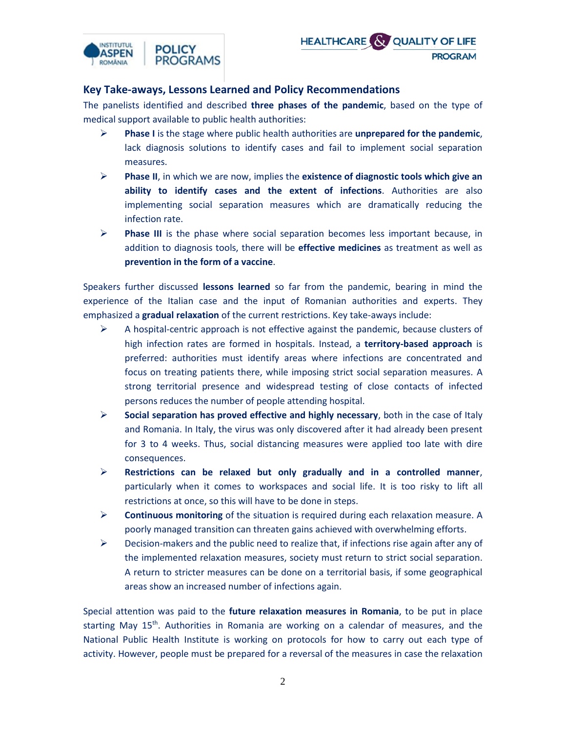



## **Key Take-aways, Lessons Learned and Policy Recommendations**

The panelists identified and described **three phases of the pandemic**, based on the type of medical support available to public health authorities:

- ➢ **Phase I** is the stage where public health authorities are **unprepared for the pandemic**, lack diagnosis solutions to identify cases and fail to implement social separation measures.
- ➢ **Phase II**, in which we are now, implies the **existence of diagnostic tools which give an ability to identify cases and the extent of infections**. Authorities are also implementing social separation measures which are dramatically reducing the infection rate.
- ➢ **Phase III** is the phase where social separation becomes less important because, in addition to diagnosis tools, there will be **effective medicines** as treatment as well as **prevention in the form of a vaccine**.

Speakers further discussed **lessons learned** so far from the pandemic, bearing in mind the experience of the Italian case and the input of Romanian authorities and experts. They emphasized a **gradual relaxation** of the current restrictions. Key take-aways include:

- $\triangleright$  A hospital-centric approach is not effective against the pandemic, because clusters of high infection rates are formed in hospitals. Instead, a **territory-based approach** is preferred: authorities must identify areas where infections are concentrated and focus on treating patients there, while imposing strict social separation measures. A strong territorial presence and widespread testing of close contacts of infected persons reduces the number of people attending hospital.
- ➢ **Social separation has proved effective and highly necessary**, both in the case of Italy and Romania. In Italy, the virus was only discovered after it had already been present for 3 to 4 weeks. Thus, social distancing measures were applied too late with dire consequences.
- ➢ **Restrictions can be relaxed but only gradually and in a controlled manner**, particularly when it comes to workspaces and social life. It is too risky to lift all restrictions at once, so this will have to be done in steps.
- ➢ **Continuous monitoring** of the situation is required during each relaxation measure. A poorly managed transition can threaten gains achieved with overwhelming efforts.
- $\triangleright$  Decision-makers and the public need to realize that, if infections rise again after any of the implemented relaxation measures, society must return to strict social separation. A return to stricter measures can be done on a territorial basis, if some geographical areas show an increased number of infections again.

Special attention was paid to the **future relaxation measures in Romania**, to be put in place starting May 15<sup>th</sup>. Authorities in Romania are working on a calendar of measures, and the National Public Health Institute is working on protocols for how to carry out each type of activity. However, people must be prepared for a reversal of the measures in case the relaxation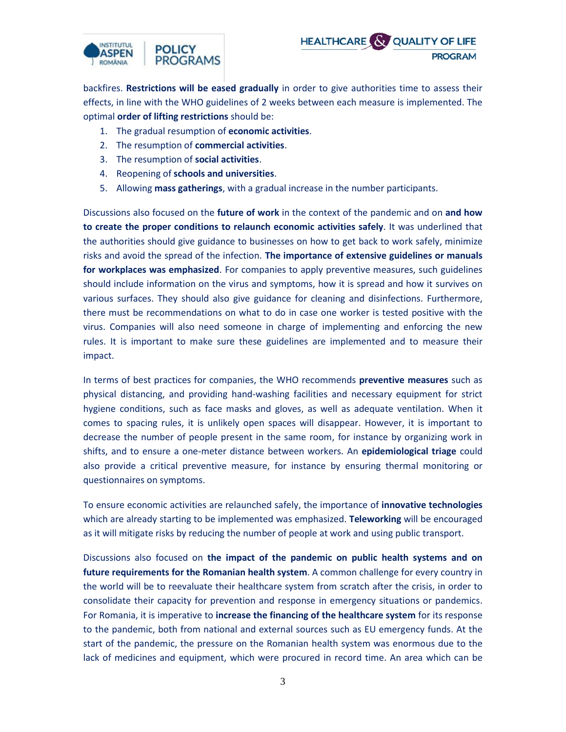



backfires. **Restrictions will be eased gradually** in order to give authorities time to assess their effects, in line with the WHO guidelines of 2 weeks between each measure is implemented. The optimal **order of lifting restrictions** should be:

- 1. The gradual resumption of **economic activities**.
- 2. The resumption of **commercial activities**.
- 3. The resumption of **social activities**.
- 4. Reopening of **schools and universities**.
- 5. Allowing **mass gatherings**, with a gradual increase in the number participants.

Discussions also focused on the **future of work** in the context of the pandemic and on **and how to create the proper conditions to relaunch economic activities safely**. It was underlined that the authorities should give guidance to businesses on how to get back to work safely, minimize risks and avoid the spread of the infection. **The importance of extensive guidelines or manuals for workplaces was emphasized**. For companies to apply preventive measures, such guidelines should include information on the virus and symptoms, how it is spread and how it survives on various surfaces. They should also give guidance for cleaning and disinfections. Furthermore, there must be recommendations on what to do in case one worker is tested positive with the virus. Companies will also need someone in charge of implementing and enforcing the new rules. It is important to make sure these guidelines are implemented and to measure their impact.

In terms of best practices for companies, the WHO recommends **preventive measures** such as physical distancing, and providing hand-washing facilities and necessary equipment for strict hygiene conditions, such as face masks and gloves, as well as adequate ventilation. When it comes to spacing rules, it is unlikely open spaces will disappear. However, it is important to decrease the number of people present in the same room, for instance by organizing work in shifts, and to ensure a one-meter distance between workers. An **epidemiological triage** could also provide a critical preventive measure, for instance by ensuring thermal monitoring or questionnaires on symptoms.

To ensure economic activities are relaunched safely, the importance of **innovative technologies** which are already starting to be implemented was emphasized. **Teleworking** will be encouraged as it will mitigate risks by reducing the number of people at work and using public transport.

Discussions also focused on **the impact of the pandemic on public health systems and on future requirements for the Romanian health system**. A common challenge for every country in the world will be to reevaluate their healthcare system from scratch after the crisis, in order to consolidate their capacity for prevention and response in emergency situations or pandemics. For Romania, it is imperative to **increase the financing of the healthcare system** for its response to the pandemic, both from national and external sources such as EU emergency funds. At the start of the pandemic, the pressure on the Romanian health system was enormous due to the lack of medicines and equipment, which were procured in record time. An area which can be